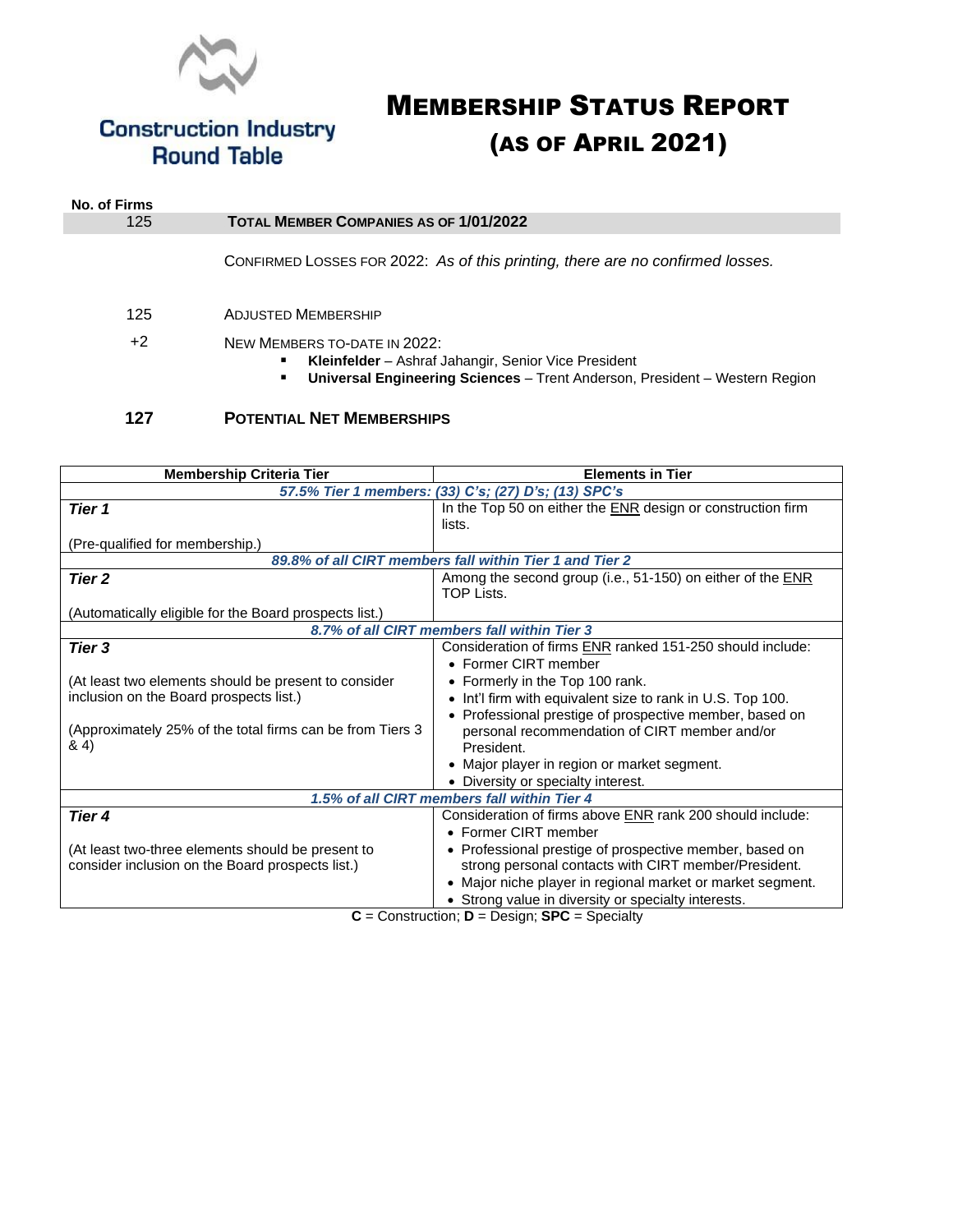

**Construction Industry<br>Round Table** 

# MEMBERSHIP STATUS REPORT (AS OF APRIL 2021)

| No. of Firms |                                                                                                                                                                          |  |
|--------------|--------------------------------------------------------------------------------------------------------------------------------------------------------------------------|--|
| 125          | <b>TOTAL MEMBER COMPANIES AS OF 1/01/2022</b>                                                                                                                            |  |
|              | CONFIRMED LOSSES FOR 2022: As of this printing, there are no confirmed losses.                                                                                           |  |
| 125          | <b>ADJUSTED MEMBERSHIP</b>                                                                                                                                               |  |
| $+2$         | NEW MEMBERS TO-DATE IN 2022:<br>Kleinfelder – Ashraf Jahangir, Senior Vice President<br>Universal Engineering Sciences - Trent Anderson, President - Western Region<br>٠ |  |
| 127          | <b>POTENTIAL NET MEMBERSHIPS</b>                                                                                                                                         |  |

| <b>Membership Criteria Tier</b>                            | <b>Elements in Tier</b>                                     |  |  |
|------------------------------------------------------------|-------------------------------------------------------------|--|--|
| 57.5% Tier 1 members: (33) C's; (27) D's; (13) SPC's       |                                                             |  |  |
| Tier 1                                                     | In the Top 50 on either the ENR design or construction firm |  |  |
|                                                            | lists.                                                      |  |  |
| (Pre-qualified for membership.)                            |                                                             |  |  |
| 89.8% of all CIRT members fall within Tier 1 and Tier 2    |                                                             |  |  |
| Tier 2                                                     | Among the second group (i.e., 51-150) on either of the ENR  |  |  |
|                                                            | TOP Lists.                                                  |  |  |
| (Automatically eligible for the Board prospects list.)     |                                                             |  |  |
| 8.7% of all CIRT members fall within Tier 3                |                                                             |  |  |
| Tier 3                                                     | Consideration of firms ENR ranked 151-250 should include:   |  |  |
|                                                            | • Former CIRT member                                        |  |  |
| (At least two elements should be present to consider       | • Formerly in the Top 100 rank.                             |  |  |
| inclusion on the Board prospects list.)                    | • Int'l firm with equivalent size to rank in U.S. Top 100.  |  |  |
|                                                            | • Professional prestige of prospective member, based on     |  |  |
| (Approximately 25% of the total firms can be from Tiers 3) | personal recommendation of CIRT member and/or               |  |  |
| & 4)                                                       | President.                                                  |  |  |
|                                                            | • Major player in region or market segment.                 |  |  |
|                                                            | • Diversity or specialty interest.                          |  |  |
| 1.5% of all CIRT members fall within Tier 4                |                                                             |  |  |
| Tier 4                                                     | Consideration of firms above ENR rank 200 should include:   |  |  |
|                                                            | • Former CIRT member                                        |  |  |
| (At least two-three elements should be present to          | • Professional prestige of prospective member, based on     |  |  |
| consider inclusion on the Board prospects list.)           | strong personal contacts with CIRT member/President.        |  |  |
|                                                            | • Major niche player in regional market or market segment.  |  |  |
|                                                            | • Strong value in diversity or specialty interests.         |  |  |
| $C -$ Construction: $D -$ Design: SPC - Specialty          |                                                             |  |  |

**C** = Construction; **D** = Design; **SPC** = Specialty